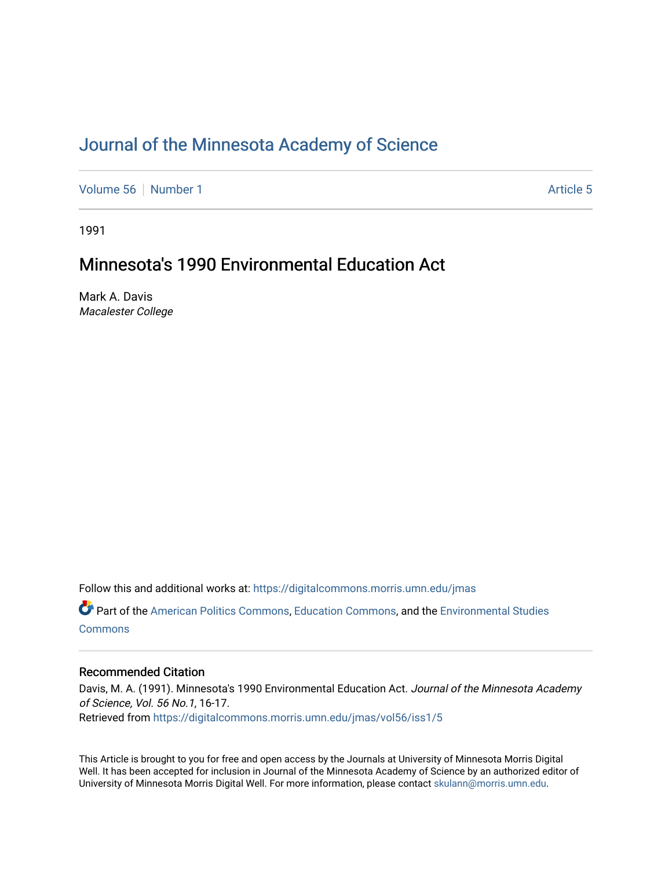## [Journal of the Minnesota Academy of Science](https://digitalcommons.morris.umn.edu/jmas)

[Volume 56](https://digitalcommons.morris.umn.edu/jmas/vol56) [Number 1](https://digitalcommons.morris.umn.edu/jmas/vol56/iss1) [Article 5](https://digitalcommons.morris.umn.edu/jmas/vol56/iss1/5) Article 5

1991

## Minnesota's 1990 Environmental Education Act

Mark A. Davis Macalester College

Follow this and additional works at: [https://digitalcommons.morris.umn.edu/jmas](https://digitalcommons.morris.umn.edu/jmas?utm_source=digitalcommons.morris.umn.edu%2Fjmas%2Fvol56%2Fiss1%2F5&utm_medium=PDF&utm_campaign=PDFCoverPages) 

Part of the [American Politics Commons,](https://network.bepress.com/hgg/discipline/387?utm_source=digitalcommons.morris.umn.edu%2Fjmas%2Fvol56%2Fiss1%2F5&utm_medium=PDF&utm_campaign=PDFCoverPages) [Education Commons](https://network.bepress.com/hgg/discipline/784?utm_source=digitalcommons.morris.umn.edu%2Fjmas%2Fvol56%2Fiss1%2F5&utm_medium=PDF&utm_campaign=PDFCoverPages), and the [Environmental Studies](https://network.bepress.com/hgg/discipline/1333?utm_source=digitalcommons.morris.umn.edu%2Fjmas%2Fvol56%2Fiss1%2F5&utm_medium=PDF&utm_campaign=PDFCoverPages)  **[Commons](https://network.bepress.com/hgg/discipline/1333?utm_source=digitalcommons.morris.umn.edu%2Fjmas%2Fvol56%2Fiss1%2F5&utm_medium=PDF&utm_campaign=PDFCoverPages)** 

### Recommended Citation

Davis, M. A. (1991). Minnesota's 1990 Environmental Education Act. Journal of the Minnesota Academy of Science, Vol. 56 No.1, 16-17. Retrieved from [https://digitalcommons.morris.umn.edu/jmas/vol56/iss1/5](https://digitalcommons.morris.umn.edu/jmas/vol56/iss1/5?utm_source=digitalcommons.morris.umn.edu%2Fjmas%2Fvol56%2Fiss1%2F5&utm_medium=PDF&utm_campaign=PDFCoverPages)

This Article is brought to you for free and open access by the Journals at University of Minnesota Morris Digital Well. It has been accepted for inclusion in Journal of the Minnesota Academy of Science by an authorized editor of University of Minnesota Morris Digital Well. For more information, please contact [skulann@morris.umn.edu](mailto:skulann@morris.umn.edu).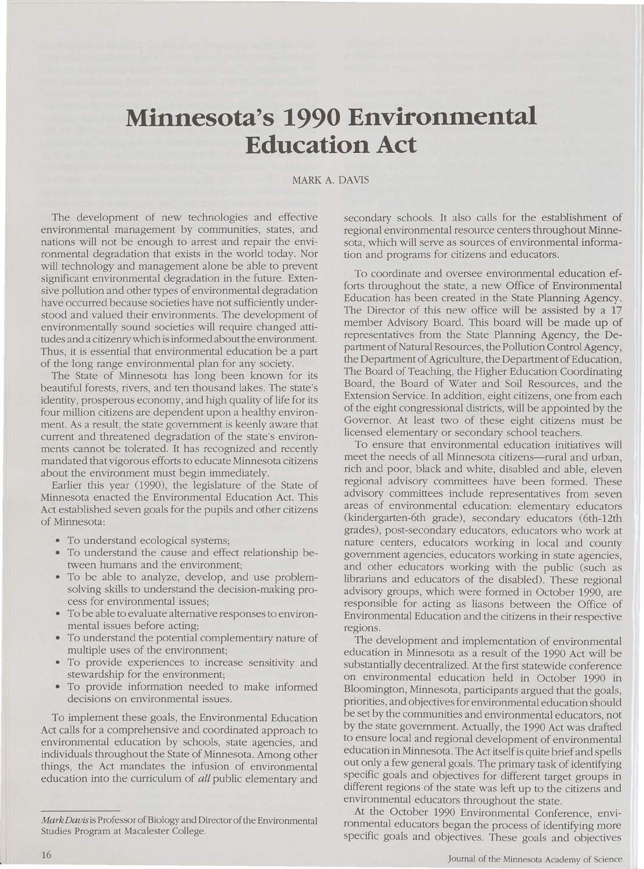# **Minnesota's 1990 Environmental Education Act**

#### MARK A. DAVIS

The development of new technologies and effective environmental management by communities, states, and nations will not be enough to arrest and repair the environmental degradation that exists in the world today. Nor will technology and management alone be able to prevent significant environmental degradation in the future. Extensive pollution and other types of environmental degradation have occurred because societies have not sufficiently understood and valued their environments. The development of environmentally sound societies will require changed attitudes and a citizenry which is informed about the environment. Thus, it is essential that environmental education be a part of the long range environmental plan for any society.

The State of Minnesota has long been known for its beautiful forests, rivers, and ten thousand lakes. The state's identity, prosperous economy, and high quality of life for its four million citizens are dependent upon a healthy environment. As a result, the state government is keenly aware that current and threatened degradation of the state's environments cannot be tolerated. It has recognized and recently mandated that vigorous efforts to educate Minnesota citizens about the environment must begin immediately.

Earlier this year (1990), the legislature of the State of Minnesota enacted the Environmental Education Act. This Act established seven goals for the pupils and other citizens of Minnesota:

- To understand ecological systems;
- To understand the cause and effect relationship between humans and the environment;
- To be able to analyze, develop, and use problemsolving skills to understand the decision-making process for environmental issues;
- To be able to evaluate alternative responses to environmental issues before acting;
- To understand the potential complementary nature of multiple uses of the environment;
- To provide experiences to increase sensitivity and stewardship for the environment;
- To provide information needed to make informed decisions on environmental issues.

To implement these goals, the Environmental Education Act calls for a comprehensive and coordinated approach to environmental education by schools, state agencies, and individuals throughout the State of Minnesota. Among other things, the Act mandates the infusion of environmental education into the curriculum of all public elementary and

secondary schools. It also calls for the establishment of regional environmental resource centers throughout Minnesota, which will serve as sources of environmental information and programs for citizens and educators.

To coordinate and oversee environmental education efforts throughout the state, a new Office of Environmental Education has been created in the State Planning Agency. The Director of this new office will be assisted by a 17 member Advisory Board. This board will be made up of representatives from the State Planning Agency, the Department of Natural Resources, the Pollution Control Agency, the Department of Agriculture, the Department of Education, The Board of Teaching, the Higher Education Coordinating Board, the Board of Water and Soil Resources, and the Extension Service. In addition, eight citizens, one from each of the eight congressional districts, will be appointed by the Governor. At least two of these eight citizens must be licensed elementary or secondary school teachers.

To ensure that environmental education initiatives will meet the needs of all Minnesota citizens-rural and urban, rich and poor, black and white, disabled and able, eleven regional advisory committees have been formed. These advisory committees include representatives from seven areas of environmental education: elementary educators (kindergarten-6th grade), secondary educators (6th-12th grades), post-secondary educators, educators who work at nature centers, educators working in local and county government agencies, educators working in state agencies, and other educators working with the public (such as librarians and educators of the disabled). These regional advisory groups, which were formed in October 1990, are responsible for acting as liasons between the Office of Environmental Education and the citizens in their respective regions.

The development and implementation of environmental education in Minnesota as a result of the 1990 Act will be substantially decentralized. At the first statewide conference on environmental education held in October 1990 in Bloomington, Minnesota, participants argued that the goals, priorities, and objectives for environmental education should be set by the communities and environmental educators, not by the state government. Actually, the 1990 Act was drafted to ensure local and regional development of environmental education in Minnesota. The Act itself is quite brief and spells out only a few general goals. The primary task of identifying specific goals and objectives for different target groups in different regions of the state was left up to the citizens and environmental educators throughout the state.

At the October 1990 Environmental Conference, environmental educators began the process of identifying more specific goals and objectives. These goals and objectives

*Mark Davis* is Professor of Biology and Director of the Environmental Studies Program at Macalester College.